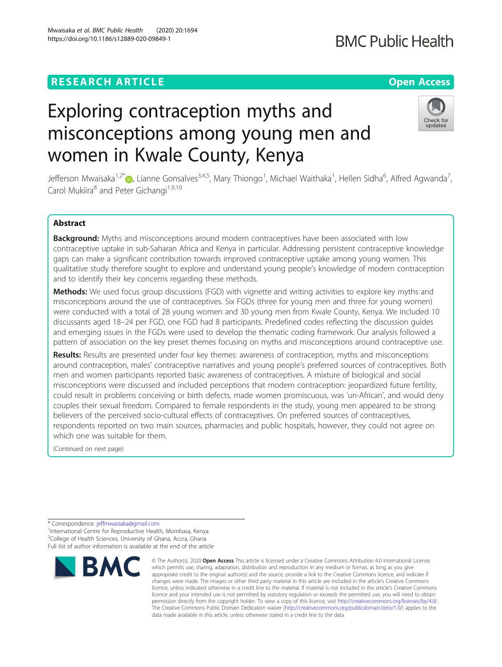### **RESEARCH ARTICLE Example 2014 12:30 The Contract of Contract ACCESS**

# Exploring contraception myths and misconceptions among young men and women in Kwale County, Kenya

Jefferson Mwaisaka<sup>1,2\*</sup>®, Lianne Gonsalves<sup>3,4,5</sup>, Mary Thiongo<sup>1</sup>, Michael Waithaka<sup>1</sup>, Hellen Sidha<sup>6</sup>, Alfred Agwanda<sup>7</sup> , Carol Mukiira<sup>8</sup> and Peter Gichangi<sup>1,9,10</sup>

### Abstract

Background: Myths and misconceptions around modern contraceptives have been associated with low contraceptive uptake in sub-Saharan Africa and Kenya in particular. Addressing persistent contraceptive knowledge gaps can make a significant contribution towards improved contraceptive uptake among young women. This qualitative study therefore sought to explore and understand young people's knowledge of modern contraception and to identify their key concerns regarding these methods.

**Methods:** We used focus group discussions (FGD) with vignette and writing activities to explore key myths and misconceptions around the use of contraceptives. Six FGDs (three for young men and three for young women) were conducted with a total of 28 young women and 30 young men from Kwale County, Kenya. We included 10 discussants aged 18–24 per FGD, one FGD had 8 participants. Predefined codes reflecting the discussion guides and emerging issues in the FGDs were used to develop the thematic coding framework. Our analysis followed a pattern of association on the key preset themes focusing on myths and misconceptions around contraceptive use.

Results: Results are presented under four key themes: awareness of contraception, myths and misconceptions around contraception, males' contraceptive narratives and young people's preferred sources of contraceptives. Both men and women participants reported basic awareness of contraceptives. A mixture of biological and social misconceptions were discussed and included perceptions that modern contraception: jeopardized future fertility, could result in problems conceiving or birth defects, made women promiscuous, was 'un-African', and would deny couples their sexual freedom. Compared to female respondents in the study, young men appeared to be strong believers of the perceived socio-cultural effects of contraceptives. On preferred sources of contraceptives, respondents reported on two main sources, pharmacies and public hospitals, however, they could not agree on which one was suitable for them.

(Continued on next page)

<sup>1</sup>International Centre for Reproductive Health, Mombasa, Kenya <sup>2</sup>College of Health Sciences, University of Ghana, Accra, Ghana Full list of author information is available at the end of the article



## **BMC Public Health**

<sup>\*</sup> Correspondence: [jeffmwaisaka@gmail.com](mailto:jeffmwaisaka@gmail.com) <sup>1</sup>

<sup>©</sup> The Author(s), 2020 **Open Access** This article is licensed under a Creative Commons Attribution 4.0 International License, which permits use, sharing, adaptation, distribution and reproduction in any medium or format, as long as you give appropriate credit to the original author(s) and the source, provide a link to the Creative Commons licence, and indicate if changes were made. The images or other third party material in this article are included in the article's Creative Commons licence, unless indicated otherwise in a credit line to the material. If material is not included in the article's Creative Commons licence and your intended use is not permitted by statutory regulation or exceeds the permitted use, you will need to obtain permission directly from the copyright holder. To view a copy of this licence, visit [http://creativecommons.org/licenses/by/4.0/.](http://creativecommons.org/licenses/by/4.0/) The Creative Commons Public Domain Dedication waiver [\(http://creativecommons.org/publicdomain/zero/1.0/](http://creativecommons.org/publicdomain/zero/1.0/)) applies to the data made available in this article, unless otherwise stated in a credit line to the data.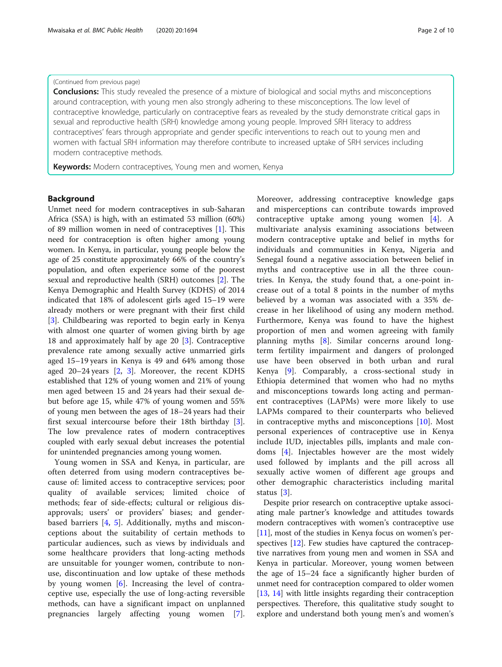#### (Continued from previous page)

**Conclusions:** This study revealed the presence of a mixture of biological and social myths and misconceptions around contraception, with young men also strongly adhering to these misconceptions. The low level of contraceptive knowledge, particularly on contraceptive fears as revealed by the study demonstrate critical gaps in sexual and reproductive health (SRH) knowledge among young people. Improved SRH literacy to address contraceptives' fears through appropriate and gender specific interventions to reach out to young men and women with factual SRH information may therefore contribute to increased uptake of SRH services including modern contraceptive methods.

Keywords: Modern contraceptives, Young men and women, Kenya

#### Background

Unmet need for modern contraceptives in sub-Saharan Africa (SSA) is high, with an estimated 53 million (60%) of 89 million women in need of contraceptives [[1\]](#page-8-0). This need for contraception is often higher among young women. In Kenya, in particular, young people below the age of 25 constitute approximately 66% of the country's population, and often experience some of the poorest sexual and reproductive health (SRH) outcomes [[2\]](#page-8-0). The Kenya Demographic and Health Survey (KDHS) of 2014 indicated that 18% of adolescent girls aged 15–19 were already mothers or were pregnant with their first child [[3\]](#page-8-0). Childbearing was reported to begin early in Kenya with almost one quarter of women giving birth by age 18 and approximately half by age 20 [\[3](#page-8-0)]. Contraceptive prevalence rate among sexually active unmarried girls aged 15–19 years in Kenya is 49 and 64% among those aged  $20-24$  years  $[2, 3]$  $[2, 3]$  $[2, 3]$ . Moreover, the recent KDHS established that 12% of young women and 21% of young men aged between 15 and 24 years had their sexual debut before age 15, while 47% of young women and 55% of young men between the ages of 18–24 years had their first sexual intercourse before their 18th birthday [\[3](#page-8-0)]. The low prevalence rates of modern contraceptives coupled with early sexual debut increases the potential for unintended pregnancies among young women.

Young women in SSA and Kenya, in particular, are often deterred from using modern contraceptives because of: limited access to contraceptive services; poor quality of available services; limited choice of methods; fear of side-effects; cultural or religious disapprovals; users' or providers' biases; and genderbased barriers [[4,](#page-8-0) [5](#page-8-0)]. Additionally, myths and misconceptions about the suitability of certain methods to particular audiences, such as views by individuals and some healthcare providers that long-acting methods are unsuitable for younger women, contribute to nonuse, discontinuation and low uptake of these methods by young women [[6\]](#page-8-0). Increasing the level of contraceptive use, especially the use of long-acting reversible methods, can have a significant impact on unplanned pregnancies largely affecting young women [\[7](#page-8-0)]. Moreover, addressing contraceptive knowledge gaps and misperceptions can contribute towards improved contraceptive uptake among young women [[4\]](#page-8-0). A multivariate analysis examining associations between modern contraceptive uptake and belief in myths for individuals and communities in Kenya, Nigeria and Senegal found a negative association between belief in myths and contraceptive use in all the three countries. In Kenya, the study found that, a one-point increase out of a total 8 points in the number of myths believed by a woman was associated with a 35% decrease in her likelihood of using any modern method. Furthermore, Kenya was found to have the highest proportion of men and women agreeing with family planning myths [[8](#page-8-0)]. Similar concerns around longterm fertility impairment and dangers of prolonged use have been observed in both urban and rural Kenya [\[9](#page-8-0)]. Comparably, a cross-sectional study in Ethiopia determined that women who had no myths and misconceptions towards long acting and permanent contraceptives (LAPMs) were more likely to use LAPMs compared to their counterparts who believed in contraceptive myths and misconceptions [[10\]](#page-8-0). Most personal experiences of contraceptive use in Kenya include IUD, injectables pills, implants and male condoms [\[4](#page-8-0)]. Injectables however are the most widely used followed by implants and the pill across all sexually active women of different age groups and other demographic characteristics including marital status [[3](#page-8-0)].

Despite prior research on contraceptive uptake associating male partner's knowledge and attitudes towards modern contraceptives with women's contraceptive use [[11\]](#page-8-0), most of the studies in Kenya focus on women's perspectives [\[12](#page-8-0)]. Few studies have captured the contraceptive narratives from young men and women in SSA and Kenya in particular. Moreover, young women between the age of 15–24 face a significantly higher burden of unmet need for contraception compared to older women [[13,](#page-8-0) [14](#page-8-0)] with little insights regarding their contraception perspectives. Therefore, this qualitative study sought to explore and understand both young men's and women's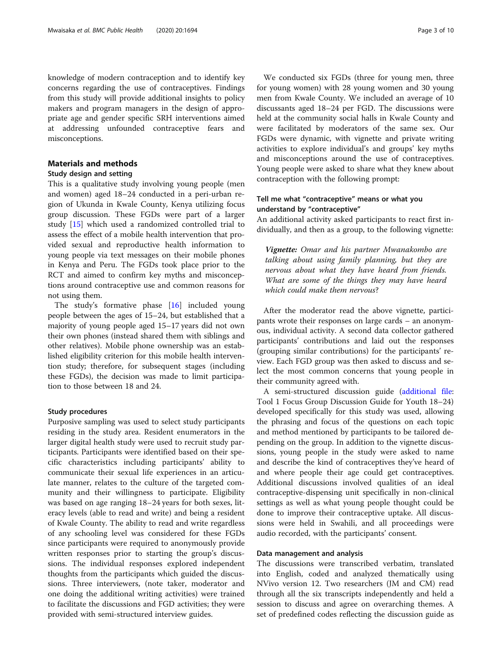knowledge of modern contraception and to identify key concerns regarding the use of contraceptives. Findings from this study will provide additional insights to policy makers and program managers in the design of appropriate age and gender specific SRH interventions aimed at addressing unfounded contraceptive fears and misconceptions.

#### Materials and methods

#### Study design and setting

This is a qualitative study involving young people (men and women) aged 18–24 conducted in a peri-urban region of Ukunda in Kwale County, Kenya utilizing focus group discussion. These FGDs were part of a larger study [[15\]](#page-8-0) which used a randomized controlled trial to assess the effect of a mobile health intervention that provided sexual and reproductive health information to young people via text messages on their mobile phones in Kenya and Peru. The FGDs took place prior to the RCT and aimed to confirm key myths and misconceptions around contraceptive use and common reasons for not using them.

The study's formative phase [[16\]](#page-8-0) included young people between the ages of 15–24, but established that a majority of young people aged 15–17 years did not own their own phones (instead shared them with siblings and other relatives). Mobile phone ownership was an established eligibility criterion for this mobile health intervention study; therefore, for subsequent stages (including these FGDs), the decision was made to limit participation to those between 18 and 24.

#### Study procedures

Purposive sampling was used to select study participants residing in the study area. Resident enumerators in the larger digital health study were used to recruit study participants. Participants were identified based on their specific characteristics including participants' ability to communicate their sexual life experiences in an articulate manner, relates to the culture of the targeted community and their willingness to participate. Eligibility was based on age ranging 18–24 years for both sexes, literacy levels (able to read and write) and being a resident of Kwale County. The ability to read and write regardless of any schooling level was considered for these FGDs since participants were required to anonymously provide written responses prior to starting the group's discussions. The individual responses explored independent thoughts from the participants which guided the discussions. Three interviewers, (note taker, moderator and one doing the additional writing activities) were trained to facilitate the discussions and FGD activities; they were provided with semi-structured interview guides.

We conducted six FGDs (three for young men, three for young women) with 28 young women and 30 young men from Kwale County. We included an average of 10 discussants aged 18–24 per FGD. The discussions were held at the community social halls in Kwale County and were facilitated by moderators of the same sex. Our FGDs were dynamic, with vignette and private writing activities to explore individual's and groups' key myths and misconceptions around the use of contraceptives. Young people were asked to share what they knew about contraception with the following prompt:

#### Tell me what "contraceptive" means or what you understand by "contraceptive"

An additional activity asked participants to react first individually, and then as a group, to the following vignette:

Vignette: Omar and his partner Mwanakombo are talking about using family planning, but they are nervous about what they have heard from friends. What are some of the things they may have heard which could make them nervous?

After the moderator read the above vignette, participants wrote their responses on large cards – an anonymous, individual activity. A second data collector gathered participants' contributions and laid out the responses (grouping similar contributions) for the participants' review. Each FGD group was then asked to discuss and select the most common concerns that young people in their community agreed with.

A semi-structured discussion guide [\(additional file](#page-8-0): Tool 1 Focus Group Discussion Guide for Youth 18–24) developed specifically for this study was used, allowing the phrasing and focus of the questions on each topic and method mentioned by participants to be tailored depending on the group. In addition to the vignette discussions, young people in the study were asked to name and describe the kind of contraceptives they've heard of and where people their age could get contraceptives. Additional discussions involved qualities of an ideal contraceptive-dispensing unit specifically in non-clinical settings as well as what young people thought could be done to improve their contraceptive uptake. All discussions were held in Swahili, and all proceedings were audio recorded, with the participants' consent.

#### Data management and analysis

The discussions were transcribed verbatim, translated into English, coded and analyzed thematically using NVivo version 12. Two researchers (JM and CM) read through all the six transcripts independently and held a session to discuss and agree on overarching themes. A set of predefined codes reflecting the discussion guide as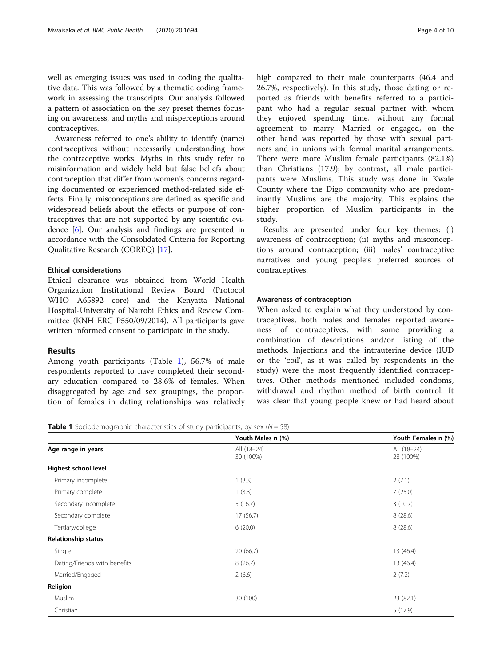well as emerging issues was used in coding the qualitative data. This was followed by a thematic coding framework in assessing the transcripts. Our analysis followed a pattern of association on the key preset themes focusing on awareness, and myths and misperceptions around contraceptives.

Awareness referred to one's ability to identify (name) contraceptives without necessarily understanding how the contraceptive works. Myths in this study refer to misinformation and widely held but false beliefs about contraception that differ from women's concerns regarding documented or experienced method-related side effects. Finally, misconceptions are defined as specific and widespread beliefs about the effects or purpose of contraceptives that are not supported by any scientific evidence [[6\]](#page-8-0). Our analysis and findings are presented in accordance with the Consolidated Criteria for Reporting Qualitative Research (COREQ) [[17](#page-9-0)].

#### Ethical considerations

Ethical clearance was obtained from World Health Organization Institutional Review Board (Protocol WHO A65892 core) and the Kenyatta National Hospital-University of Nairobi Ethics and Review Committee (KNH ERC P550/09/2014). All participants gave written informed consent to participate in the study.

#### Results

Among youth participants (Table 1), 56.7% of male respondents reported to have completed their secondary education compared to 28.6% of females. When disaggregated by age and sex groupings, the proportion of females in dating relationships was relatively high compared to their male counterparts (46.4 and 26.7%, respectively). In this study, those dating or reported as friends with benefits referred to a participant who had a regular sexual partner with whom they enjoyed spending time, without any formal agreement to marry. Married or engaged, on the other hand was reported by those with sexual partners and in unions with formal marital arrangements. There were more Muslim female participants (82.1%) than Christians (17.9); by contrast, all male participants were Muslims. This study was done in Kwale County where the Digo community who are predominantly Muslims are the majority. This explains the higher proportion of Muslim participants in the study.

Results are presented under four key themes: (i) awareness of contraception; (ii) myths and misconceptions around contraception; (iii) males' contraceptive narratives and young people's preferred sources of contraceptives.

#### Awareness of contraception

When asked to explain what they understood by contraceptives, both males and females reported awareness of contraceptives, with some providing a combination of descriptions and/or listing of the methods. Injections and the intrauterine device (IUD or the 'coil', as it was called by respondents in the study) were the most frequently identified contraceptives. Other methods mentioned included condoms, withdrawal and rhythm method of birth control. It was clear that young people knew or had heard about

**Table 1** Sociodemographic characteristics of study participants, by sex ( $N = 58$ )

|                              | Youth Males n (%)        | Youth Females n (%)      |
|------------------------------|--------------------------|--------------------------|
| Age range in years           | All (18-24)<br>30 (100%) | All (18-24)<br>28 (100%) |
| Highest school level         |                          |                          |
| Primary incomplete           | 1(3.3)                   | 2(7.1)                   |
| Primary complete             | 1(3.3)                   | 7(25.0)                  |
| Secondary incomplete         | 5(16.7)                  | 3(10.7)                  |
| Secondary complete           | 17(56.7)                 | 8(28.6)                  |
| Tertiary/college             | 6(20.0)                  | 8(28.6)                  |
| <b>Relationship status</b>   |                          |                          |
| Single                       | 20(66.7)                 | 13 (46.4)                |
| Dating/Friends with benefits | 8(26.7)                  | 13 (46.4)                |
| Married/Engaged              | 2(6.6)                   | 2(7.2)                   |
| Religion                     |                          |                          |
| Muslim                       | 30 (100)                 | 23 (82.1)                |
| Christian                    |                          | 5(17.9)                  |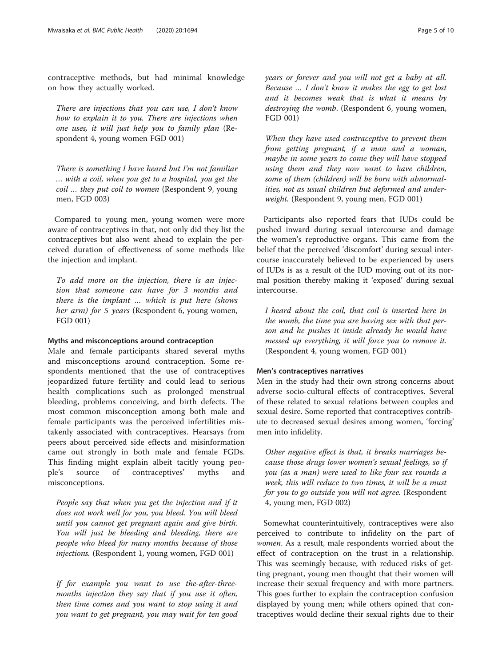contraceptive methods, but had minimal knowledge on how they actually worked.

There are injections that you can use, I don't know how to explain it to you. There are injections when one uses, it will just help you to family plan (Respondent 4, young women FGD 001)

There is something I have heard but I'm not familiar … with a coil, when you get to a hospital, you get the coil ... they put coil to women (Respondent 9, young men, FGD 003)

Compared to young men, young women were more aware of contraceptives in that, not only did they list the contraceptives but also went ahead to explain the perceived duration of effectiveness of some methods like the injection and implant.

To add more on the injection, there is an injection that someone can have for 3 months and there is the implant … which is put here (shows her arm) for 5 years (Respondent 6, young women, FGD 001)

#### Myths and misconceptions around contraception

Male and female participants shared several myths and misconceptions around contraception. Some respondents mentioned that the use of contraceptives jeopardized future fertility and could lead to serious health complications such as prolonged menstrual bleeding, problems conceiving, and birth defects. The most common misconception among both male and female participants was the perceived infertilities mistakenly associated with contraceptives. Hearsays from peers about perceived side effects and misinformation came out strongly in both male and female FGDs. This finding might explain albeit tacitly young people's source of contraceptives' myths and misconceptions.

People say that when you get the injection and if it does not work well for you, you bleed. You will bleed until you cannot get pregnant again and give birth. You will just be bleeding and bleeding, there are people who bleed for many months because of those injections. (Respondent 1, young women, FGD 001)

If for example you want to use the-after-threemonths injection they say that if you use it often, then time comes and you want to stop using it and you want to get pregnant, you may wait for ten good years or forever and you will not get a baby at all. Because … I don't know it makes the egg to get lost and it becomes weak that is what it means by destroying the womb. (Respondent 6, young women, FGD 001)

When they have used contraceptive to prevent them from getting pregnant, if a man and a woman, maybe in some years to come they will have stopped using them and they now want to have children, some of them (children) will be born with abnormalities, not as usual children but deformed and underweight. (Respondent 9, young men, FGD 001)

Participants also reported fears that IUDs could be pushed inward during sexual intercourse and damage the women's reproductive organs. This came from the belief that the perceived 'discomfort' during sexual intercourse inaccurately believed to be experienced by users of IUDs is as a result of the IUD moving out of its normal position thereby making it 'exposed' during sexual intercourse.

I heard about the coil, that coil is inserted here in the womb, the time you are having sex with that person and he pushes it inside already he would have messed up everything, it will force you to remove it. (Respondent 4, young women, FGD 001)

#### Men's contraceptives narratives

Men in the study had their own strong concerns about adverse socio-cultural effects of contraceptives. Several of these related to sexual relations between couples and sexual desire. Some reported that contraceptives contribute to decreased sexual desires among women, 'forcing' men into infidelity.

Other negative effect is that, it breaks marriages because those drugs lower women's sexual feelings, so if you (as a man) were used to like four sex rounds a week, this will reduce to two times, it will be a must for you to go outside you will not agree. (Respondent 4, young men, FGD 002)

Somewhat counterintuitively, contraceptives were also perceived to contribute to infidelity on the part of women. As a result, male respondents worried about the effect of contraception on the trust in a relationship. This was seemingly because, with reduced risks of getting pregnant, young men thought that their women will increase their sexual frequency and with more partners. This goes further to explain the contraception confusion displayed by young men; while others opined that contraceptives would decline their sexual rights due to their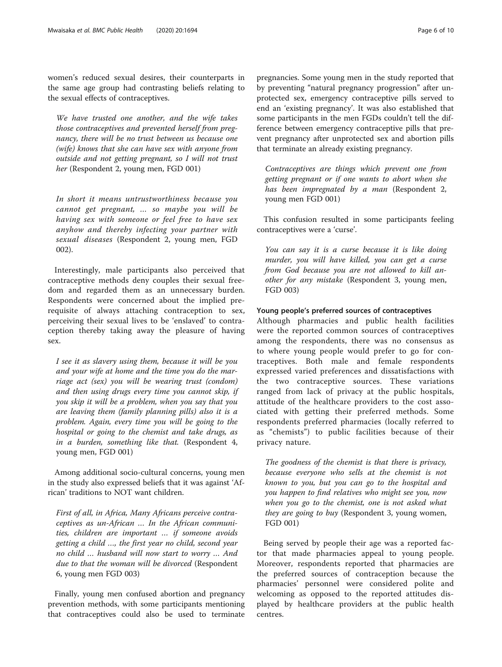women's reduced sexual desires, their counterparts in the same age group had contrasting beliefs relating to the sexual effects of contraceptives.

We have trusted one another, and the wife takes those contraceptives and prevented herself from pregnancy, there will be no trust between us because one (wife) knows that she can have sex with anyone from outside and not getting pregnant, so I will not trust her (Respondent 2, young men, FGD 001)

In short it means untrustworthiness because you cannot get pregnant, … so maybe you will be having sex with someone or feel free to have sex anyhow and thereby infecting your partner with sexual diseases (Respondent 2, young men, FGD 002).

Interestingly, male participants also perceived that contraceptive methods deny couples their sexual freedom and regarded them as an unnecessary burden. Respondents were concerned about the implied prerequisite of always attaching contraception to sex, perceiving their sexual lives to be 'enslaved' to contraception thereby taking away the pleasure of having sex.

I see it as slavery using them, because it will be you and your wife at home and the time you do the marriage act (sex) you will be wearing trust (condom) and then using drugs every time you cannot skip, if you skip it will be a problem, when you say that you are leaving them (family planning pills) also it is a problem. Again, every time you will be going to the hospital or going to the chemist and take drugs, as in a burden, something like that. (Respondent 4, young men, FGD 001)

Among additional socio-cultural concerns, young men in the study also expressed beliefs that it was against 'African' traditions to NOT want children.

First of all, in Africa, Many Africans perceive contraceptives as un-African … In the African communities, children are important … if someone avoids getting a child …, the first year no child, second year no child … husband will now start to worry … And due to that the woman will be divorced (Respondent 6, young men FGD 003)

Finally, young men confused abortion and pregnancy prevention methods, with some participants mentioning that contraceptives could also be used to terminate pregnancies. Some young men in the study reported that by preventing "natural pregnancy progression" after unprotected sex, emergency contraceptive pills served to end an 'existing pregnancy'. It was also established that some participants in the men FGDs couldn't tell the difference between emergency contraceptive pills that prevent pregnancy after unprotected sex and abortion pills that terminate an already existing pregnancy.

Contraceptives are things which prevent one from getting pregnant or if one wants to abort when she has been impregnated by a man (Respondent 2, young men FGD 001)

This confusion resulted in some participants feeling contraceptives were a 'curse'.

You can say it is a curse because it is like doing murder, you will have killed, you can get a curse from God because you are not allowed to kill another for any mistake (Respondent 3, young men, FGD 003)

#### Young people's preferred sources of contraceptives

Although pharmacies and public health facilities were the reported common sources of contraceptives among the respondents, there was no consensus as to where young people would prefer to go for contraceptives. Both male and female respondents expressed varied preferences and dissatisfactions with the two contraceptive sources. These variations ranged from lack of privacy at the public hospitals, attitude of the healthcare providers to the cost associated with getting their preferred methods. Some respondents preferred pharmacies (locally referred to as "chemists") to public facilities because of their privacy nature.

The goodness of the chemist is that there is privacy, because everyone who sells at the chemist is not known to you, but you can go to the hospital and you happen to find relatives who might see you, now when you go to the chemist, one is not asked what they are going to buy (Respondent 3, young women, FGD 001)

Being served by people their age was a reported factor that made pharmacies appeal to young people. Moreover, respondents reported that pharmacies are the preferred sources of contraception because the pharmacies' personnel were considered polite and welcoming as opposed to the reported attitudes displayed by healthcare providers at the public health centres.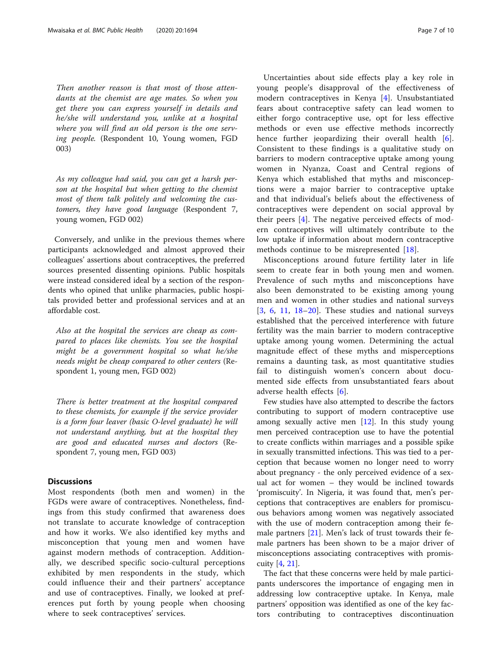Then another reason is that most of those attendants at the chemist are age mates. So when you get there you can express yourself in details and he/she will understand you, unlike at a hospital where you will find an old person is the one serving people. (Respondent 10, Young women, FGD 003)

As my colleague had said, you can get a harsh person at the hospital but when getting to the chemist most of them talk politely and welcoming the customers, they have good language (Respondent 7, young women, FGD 002)

Conversely, and unlike in the previous themes where participants acknowledged and almost approved their colleagues' assertions about contraceptives, the preferred sources presented dissenting opinions. Public hospitals were instead considered ideal by a section of the respondents who opined that unlike pharmacies, public hospitals provided better and professional services and at an affordable cost.

Also at the hospital the services are cheap as compared to places like chemists. You see the hospital might be a government hospital so what he/she needs might be cheap compared to other centers (Respondent 1, young men, FGD 002)

There is better treatment at the hospital compared to these chemists, for example if the service provider is a form four leaver (basic O-level graduate) he will not understand anything, but at the hospital they are good and educated nurses and doctors (Respondent 7, young men, FGD 003)

#### **Discussions**

Most respondents (both men and women) in the FGDs were aware of contraceptives. Nonetheless, findings from this study confirmed that awareness does not translate to accurate knowledge of contraception and how it works. We also identified key myths and misconception that young men and women have against modern methods of contraception. Additionally, we described specific socio-cultural perceptions exhibited by men respondents in the study, which could influence their and their partners' acceptance and use of contraceptives. Finally, we looked at preferences put forth by young people when choosing where to seek contraceptives' services.

Uncertainties about side effects play a key role in young people's disapproval of the effectiveness of modern contraceptives in Kenya [\[4](#page-8-0)]. Unsubstantiated fears about contraceptive safety can lead women to either forgo contraceptive use, opt for less effective methods or even use effective methods incorrectly hence further jeopardizing their overall health [\[6](#page-8-0)]. Consistent to these findings is a qualitative study on barriers to modern contraceptive uptake among young women in Nyanza, Coast and Central regions of Kenya which established that myths and misconceptions were a major barrier to contraceptive uptake and that individual's beliefs about the effectiveness of contraceptives were dependent on social approval by their peers [\[4](#page-8-0)]. The negative perceived effects of modern contraceptives will ultimately contribute to the low uptake if information about modern contraceptive methods continue to be misrepresented [[18\]](#page-9-0).

Misconceptions around future fertility later in life seem to create fear in both young men and women. Prevalence of such myths and misconceptions have also been demonstrated to be existing among young men and women in other studies and national surveys [[3](#page-8-0), [6](#page-8-0), [11](#page-8-0), [18](#page-9-0)–[20](#page-9-0)]. These studies and national surveys established that the perceived interference with future fertility was the main barrier to modern contraceptive uptake among young women. Determining the actual magnitude effect of these myths and misperceptions remains a daunting task, as most quantitative studies fail to distinguish women's concern about documented side effects from unsubstantiated fears about adverse health effects [[6\]](#page-8-0).

Few studies have also attempted to describe the factors contributing to support of modern contraceptive use among sexually active men  $[12]$  $[12]$ . In this study young men perceived contraception use to have the potential to create conflicts within marriages and a possible spike in sexually transmitted infections. This was tied to a perception that because women no longer need to worry about pregnancy - the only perceived evidence of a sexual act for women – they would be inclined towards 'promiscuity'. In Nigeria, it was found that, men's perceptions that contraceptives are enablers for promiscuous behaviors among women was negatively associated with the use of modern contraception among their female partners [\[21](#page-9-0)]. Men's lack of trust towards their female partners has been shown to be a major driver of misconceptions associating contraceptives with promiscuity [[4,](#page-8-0) [21](#page-9-0)].

The fact that these concerns were held by male participants underscores the importance of engaging men in addressing low contraceptive uptake. In Kenya, male partners' opposition was identified as one of the key factors contributing to contraceptives discontinuation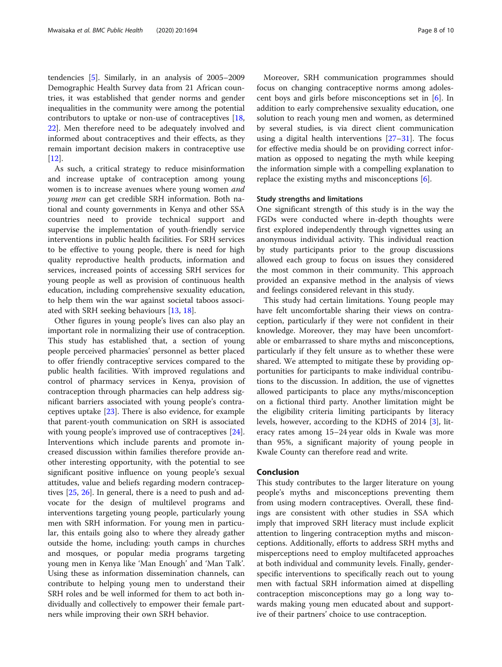tendencies [\[5](#page-8-0)]. Similarly, in an analysis of 2005–2009 Demographic Health Survey data from 21 African countries, it was established that gender norms and gender inequalities in the community were among the potential contributors to uptake or non-use of contraceptives [[18](#page-9-0), [22\]](#page-9-0). Men therefore need to be adequately involved and informed about contraceptives and their effects, as they remain important decision makers in contraceptive use [[12\]](#page-8-0).

As such, a critical strategy to reduce misinformation and increase uptake of contraception among young women is to increase avenues where young women and young men can get credible SRH information. Both national and county governments in Kenya and other SSA countries need to provide technical support and supervise the implementation of youth-friendly service interventions in public health facilities. For SRH services to be effective to young people, there is need for high quality reproductive health products, information and services, increased points of accessing SRH services for young people as well as provision of continuous health education, including comprehensive sexuality education, to help them win the war against societal taboos associated with SRH seeking behaviours [[13](#page-8-0), [18](#page-9-0)].

Other figures in young people's lives can also play an important role in normalizing their use of contraception. This study has established that, a section of young people perceived pharmacies' personnel as better placed to offer friendly contraceptive services compared to the public health facilities. With improved regulations and control of pharmacy services in Kenya, provision of contraception through pharmacies can help address significant barriers associated with young people's contraceptives uptake [\[23](#page-9-0)]. There is also evidence, for example that parent-youth communication on SRH is associated with young people's improved use of contraceptives [\[24](#page-9-0)]. Interventions which include parents and promote increased discussion within families therefore provide another interesting opportunity, with the potential to see significant positive influence on young people's sexual attitudes, value and beliefs regarding modern contraceptives [\[25](#page-9-0), [26](#page-9-0)]. In general, there is a need to push and advocate for the design of multilevel programs and interventions targeting young people, particularly young men with SRH information. For young men in particular, this entails going also to where they already gather outside the home, including: youth camps in churches and mosques, or popular media programs targeting young men in Kenya like 'Man Enough' and 'Man Talk'. Using these as information dissemination channels, can contribute to helping young men to understand their SRH roles and be well informed for them to act both individually and collectively to empower their female partners while improving their own SRH behavior.

Moreover, SRH communication programmes should focus on changing contraceptive norms among adolescent boys and girls before misconceptions set in [[6\]](#page-8-0). In addition to early comprehensive sexuality education, one solution to reach young men and women, as determined by several studies, is via direct client communication using a digital health interventions [[27](#page-9-0)–[31](#page-9-0)]. The focus for effective media should be on providing correct information as opposed to negating the myth while keeping the information simple with a compelling explanation to replace the existing myths and misconceptions  $[6]$  $[6]$ .

#### Study strengths and limitations

One significant strength of this study is in the way the FGDs were conducted where in-depth thoughts were first explored independently through vignettes using an anonymous individual activity. This individual reaction by study participants prior to the group discussions allowed each group to focus on issues they considered the most common in their community. This approach provided an expansive method in the analysis of views and feelings considered relevant in this study.

This study had certain limitations. Young people may have felt uncomfortable sharing their views on contraception, particularly if they were not confident in their knowledge. Moreover, they may have been uncomfortable or embarrassed to share myths and misconceptions, particularly if they felt unsure as to whether these were shared. We attempted to mitigate these by providing opportunities for participants to make individual contributions to the discussion. In addition, the use of vignettes allowed participants to place any myths/misconception on a fictional third party. Another limitation might be the eligibility criteria limiting participants by literacy levels, however, according to the KDHS of 2014 [[3\]](#page-8-0), literacy rates among 15–24 year olds in Kwale was more than 95%, a significant majority of young people in Kwale County can therefore read and write.

#### Conclusion

This study contributes to the larger literature on young people's myths and misconceptions preventing them from using modern contraceptives. Overall, these findings are consistent with other studies in SSA which imply that improved SRH literacy must include explicit attention to lingering contraception myths and misconceptions. Additionally, efforts to address SRH myths and misperceptions need to employ multifaceted approaches at both individual and community levels. Finally, genderspecific interventions to specifically reach out to young men with factual SRH information aimed at dispelling contraception misconceptions may go a long way towards making young men educated about and supportive of their partners' choice to use contraception.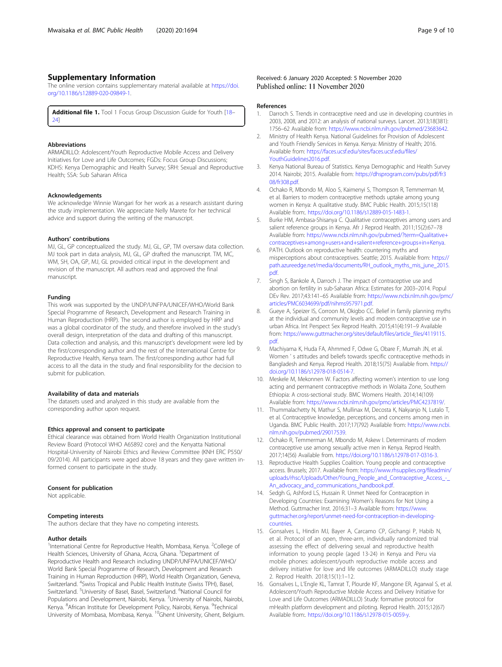#### <span id="page-8-0"></span>Supplementary Information

The online version contains supplementary material available at [https://doi.](https://doi.org/10.1186/s12889-020-09849-1) [org/10.1186/s12889-020-09849-1.](https://doi.org/10.1186/s12889-020-09849-1)

Additional file 1. Tool 1 Focus Group Discussion Guide for Youth [18-24]

#### Abbreviations

ARMADILLO: Adolescent/Youth Reproductive Mobile Access and Delivery Initiatives for Love and Life Outcomes; FGDs: Focus Group Discussions; KDHS: Kenya Demographic and Health Survey; SRH: Sexual and Reproductive Health; SSA: Sub Saharan Africa

#### Acknowledgements

We acknowledge Winnie Wangari for her work as a research assistant during the study implementation. We appreciate Nelly Marete for her technical advice and support during the writing of the manuscript.

#### Authors' contributions

MJ, GL, GP conceptualized the study. MJ, GL, GP, TM oversaw data collection. MJ took part in data analysis, MJ, GL, GP drafted the manuscript. TM, MC, WM, SH, OA, GP, MJ, GL provided critical input in the development and revision of the manuscript. All authors read and approved the final manuscript.

#### Funding

This work was supported by the UNDP/UNFPA/UNICEF/WHO/World Bank Special Programme of Research, Development and Research Training in Human Reproduction (HRP). The second author is employed by HRP and was a global coordinator of the study, and therefore involved in the study's overall design, interpretation of the data and drafting of this manuscript. Data collection and analysis, and this manuscript's development were led by the first/corresponding author and the rest of the International Centre for Reproductive Health, Kenya team. The first/corresponding author had full access to all the data in the study and final responsibility for the decision to submit for publication.

#### Availability of data and materials

The datasets used and analyzed in this study are available from the corresponding author upon request.

#### Ethics approval and consent to participate

Ethical clearance was obtained from World Health Organization Institutional Review Board (Protocol WHO A65892 core) and the Kenyatta National Hospital-University of Nairobi Ethics and Review Committee (KNH ERC P550/ 09/2014). All participants were aged above 18 years and they gave written informed consent to participate in the study.

#### Consent for publication

Not applicable.

#### Competing interests

The authors declare that they have no competing interests.

#### Author details

<sup>1</sup>International Centre for Reproductive Health, Mombasa, Kenya. <sup>2</sup>College of Health Sciences, University of Ghana, Accra, Ghana. <sup>3</sup>Department of Reproductive Health and Research including UNDP/UNFPA/UNICEF/WHO/ World Bank Special Programme of Research, Development and Research Training in Human Reproduction (HRP), World Health Organization, Geneva, Switzerland. <sup>4</sup>Swiss Tropical and Public Health Institute (Swiss TPH), Basel, Switzerland. <sup>5</sup>University of Basel, Basel, Switzerland. <sup>6</sup>National Council for Populations and Development, Nairobi, Kenya. <sup>7</sup>University of Nairobi, Nairobi, Kenya. <sup>8</sup>African Institute for Development Policy, Nairobi, Kenya. <sup>9</sup>Technical University of Mombasa, Mombasa, Kenya. <sup>10</sup>Ghent University, Ghent, Belgium.

#### References

- 1. Darroch S. Trends in contraceptive need and use in developing countries in 2003, 2008, and 2012: an analysis of national surveys. Lancet. 2013;18(381): 1756–62 Available from: [https://www.ncbi.nlm.nih.gov/pubmed/23683642.](https://www.ncbi.nlm.nih.gov/pubmed/23683642)
- 2. Ministry of Health Kenya. National Guidelines for Provision of Adolescent and Youth Friendly Services in Kenya. Kenya: Ministry of Health; 2016. Available from: [https://faces.ucsf.edu/sites/faces.ucsf.edu/files/](https://faces.ucsf.edu/sites/faces.ucsf.edu/files/YouthGuidelines2016.pdf) [YouthGuidelines2016.pdf.](https://faces.ucsf.edu/sites/faces.ucsf.edu/files/YouthGuidelines2016.pdf)
- 3. Kenya National Bureau of Statistics. Kenya Demographic and Health Survey 2014. Nairobi; 2015. Available from: [https://dhsprogram.com/pubs/pdf/fr3](https://dhsprogram.com/pubs/pdf/fr308/fr308.pdf) [08/fr308.pdf.](https://dhsprogram.com/pubs/pdf/fr308/fr308.pdf)
- 4. Ochako R, Mbondo M, Aloo S, Kaimenyi S, Thompson R, Temmerman M, et al. Barriers to modern contraceptive methods uptake among young women in Kenya: A qualitative study. BMC Public Health. 2015;15(118) Available from:. [https://doi.org/10.1186/s12889-015-1483-1.](https://doi.org/10.1186/s12889-015-1483-1)
- 5. Burke HM, Ambasa-Shisanya C. Qualitative contraceptives among users and salient reference groups in Kenya. Afr J Reprod Health. 2011;15(2):67–78 Available from: [https://www.ncbi.nlm.nih.gov/pubmed/?term=Qualitative+](https://www.ncbi.nlm.nih.gov/pubmed/?term=Qualitative+contraceptives+among+users+and+salient+reference+groups+in+Kenya) [contraceptives+among+users+and+salient+reference+groups+in+Kenya](https://www.ncbi.nlm.nih.gov/pubmed/?term=Qualitative+contraceptives+among+users+and+salient+reference+groups+in+Kenya).
- 6. PATH. Outlook on reproductive health: countering myths and misperceptions about contraceptives. Seattle; 2015. Available from: [https://](https://path.azureedge.net/media/documents/RH_outlook_myths_mis_june_2015.pdf) [path.azureedge.net/media/documents/RH\\_outlook\\_myths\\_mis\\_june\\_2015.](https://path.azureedge.net/media/documents/RH_outlook_myths_mis_june_2015.pdf) [pdf](https://path.azureedge.net/media/documents/RH_outlook_myths_mis_june_2015.pdf).
- 7. Singh S, Bankole A, Darroch J. The impact of contraceptive use and abortion on fertility in sub-Saharan Africa: Estimates for 2003–2014. Popul DEv Rev. 2017;43:141–65 Available from: [https://www.ncbi.nlm.nih.gov/pmc/](https://www.ncbi.nlm.nih.gov/pmc/articles/PMC6034699/pdf/nihms957971.pdf) [articles/PMC6034699/pdf/nihms957971.pdf.](https://www.ncbi.nlm.nih.gov/pmc/articles/PMC6034699/pdf/nihms957971.pdf)
- 8. Gueye A, Speizer IS, Corroon M, Okigbo CC. Belief in family planning myths at the individual and community levels and modern contraceptive use in urban Africa. Int Perspect Sex Reprod Health. 2015;41(4):191–9 Available from: [https://www.guttmacher.org/sites/default/files/article\\_files/4119115.](https://www.guttmacher.org/sites/default/files/article_files/4119115.pdf) [pdf](https://www.guttmacher.org/sites/default/files/article_files/4119115.pdf).
- 9. Machiyama K, Huda FA, Ahmmed F, Odwe G, Obare F, Mumah JN, et al. Women 's attitudes and beliefs towards specific contraceptive methods in Bangladesh and Kenya. Reprod Health. 2018;15(75) Available from. [https://](https://doi.org/10.1186/s12978-018-0514-7) [doi.org/10.1186/s12978-018-0514-7.](https://doi.org/10.1186/s12978-018-0514-7)
- 10. Meskele M, Mekonnen W. Factors affecting women's intention to use long acting and permanent contraceptive methods in Wolaita Zone, Southern Ethiopia: A cross-sectional study. BMC Womens Health. 2014;14(109) Available from: <https://www.ncbi.nlm.nih.gov/pmc/articles/PMC4237819/>.
- 11. Thummalachetty N, Mathur S, Mullinax M, Decosta K, Nakyanjo N, Lutalo T, et al. Contraceptive knowledge, perceptions, and concerns among men in Uganda. BMC Public Health. 2017;17(792) Available from: [https://www.ncbi.](https://www.ncbi.nlm.nih.gov/pubmed/29017539) [nlm.nih.gov/pubmed/29017539.](https://www.ncbi.nlm.nih.gov/pubmed/29017539)
- 12. Ochako R, Temmerman M, Mbondo M, Askew I. Determinants of modern contraceptive use among sexually active men in Kenya. Reprod Health. 2017;14(56) Available from. [https://doi.org/10.1186/s12978-017-0316-3.](https://doi.org/10.1186/s12978-017-0316-3)
- 13. Reproductive Health Supplies Coalition. Young people and contraceptive access. Brussels; 2017. Available from: [https://www.rhsupplies.org/fileadmin/](https://www.rhsupplies.org/fileadmin/uploads/rhsc/Uploads/Other/Young_People_and_Contraceptive_Access_-_An_advocacy_and_communications_handbook.pdf) [uploads/rhsc/Uploads/Other/Young\\_People\\_and\\_Contraceptive\\_Access\\_-\\_](https://www.rhsupplies.org/fileadmin/uploads/rhsc/Uploads/Other/Young_People_and_Contraceptive_Access_-_An_advocacy_and_communications_handbook.pdf) [An\\_advocacy\\_and\\_communications\\_handbook.pdf.](https://www.rhsupplies.org/fileadmin/uploads/rhsc/Uploads/Other/Young_People_and_Contraceptive_Access_-_An_advocacy_and_communications_handbook.pdf)
- 14. Sedgh G, Ashford LS, Hussain R. Unmet Need for Contraception in Developing Countries: Examining Women's Reasons for Not Using a Method. Guttmacher Inst. 2016:31–3 Available from: [https://www.](https://www.guttmacher.org/report/unmet-need-for-contraception-in-developing-countries) [guttmacher.org/report/unmet-need-for-contraception-in-developing](https://www.guttmacher.org/report/unmet-need-for-contraception-in-developing-countries)**countries**
- 15. Gonsalves L, Hindin MJ, Bayer A, Carcamo CP, Gichangi P, Habib N, et al. Protocol of an open, three-arm, individually randomized trial assessing the effect of delivering sexual and reproductive health information to young people (aged 13-24) in Kenya and Peru via mobile phones: adolescent/youth reproductive mobile access and delivery initiative for love and life outcomes (ARMADILLO) study stage 2. Reprod Health. 2018;15(1):1–12.
- 16. Gonsalves L, L'Engle KL, Tamrat T, Plourde KF, Mangone ER, Agarwal S, et al. Adolescent/Youth Reproductive Mobile Access and Delivery Initiative for Love and Life Outcomes (ARMADILLO) Study: formative protocol for mHealth platform development and piloting. Reprod Health. 2015;12(67) Available from:. <https://doi.org/10.1186/s12978-015-0059-y>.